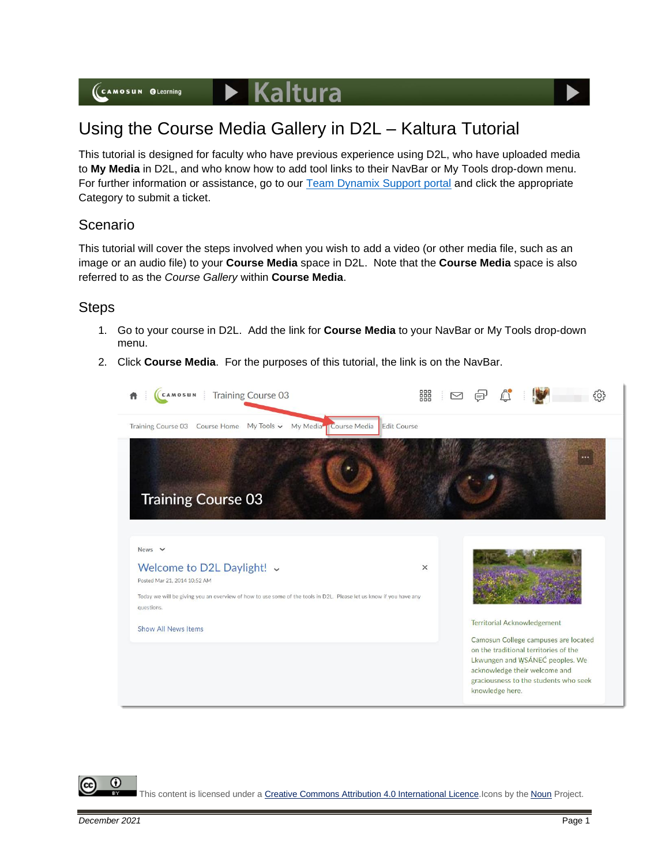# Using the Course Media Gallery in D2L – Kaltura Tutorial

This tutorial is designed for faculty who have previous experience using D2L, who have uploaded media to **My Media** in D2L, and who know how to add tool links to their NavBar or My Tools drop-down menu. For further information or assistance, go to our **Team Dynamix Support portal** and click the appropriate Category to submit a ticket.

## Scenario

This tutorial will cover the steps involved when you wish to add a video (or other media file, such as an image or an audio file) to your **Course Media** space in D2L. Note that the **Course Media** space is also referred to as the *Course Gallery* within **Course Media**.

## **Steps**

- 1. Go to your course in D2L. Add the link for **Course Media** to your NavBar or My Tools drop-down menu.
- 2. Click **Course Media**. For the purposes of this tutorial, the link is on the NavBar.



This content is licensed under [a Creative Commons Attribution 4.0 International Licence.I](https://creativecommons.org/licenses/by/4.0/)cons by the [Noun](https://creativecommons.org/website-icons/) Project.

G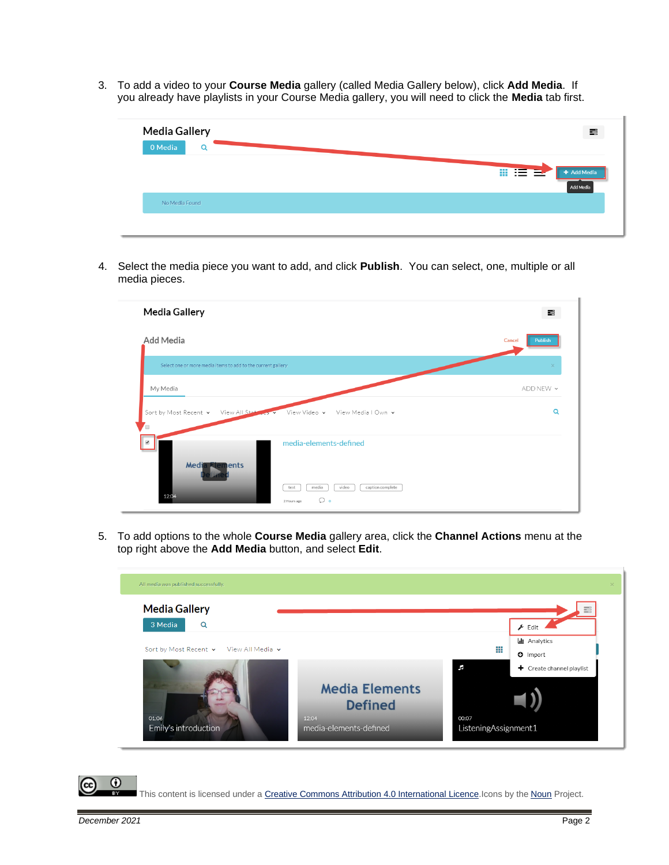3. To add a video to your **Course Media** gallery (called Media Gallery below), click **Add Media**. If you already have playlists in your Course Media gallery, you will need to click the **Media** tab first.

| + Add Media |
|-------------|
| Add Media   |
|             |

4. Select the media piece you want to add, and click **Publish**. You can select, one, multiple or all media pieces.



5. To add options to the whole **Course Media** gallery area, click the **Channel Actions** menu at the top right above the **Add Media** button, and select **Edit**.



⋒

This content is licensed under [a Creative Commons Attribution 4.0 International Licence.I](https://creativecommons.org/licenses/by/4.0/)cons by the [Noun](https://creativecommons.org/website-icons/) Project.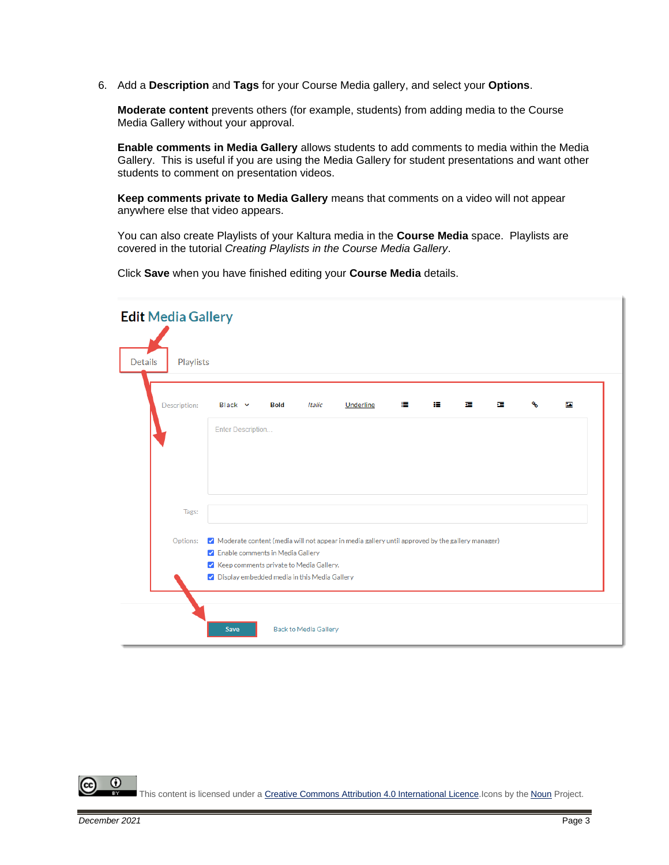6. Add a **Description** and **Tags** for your Course Media gallery, and select your **Options**.

**Moderate content** prevents others (for example, students) from adding media to the Course Media Gallery without your approval.

**Enable comments in Media Gallery** allows students to add comments to media within the Media Gallery. This is useful if you are using the Media Gallery for student presentations and want other students to comment on presentation videos.

**Keep comments private to Media Gallery** means that comments on a video will not appear anywhere else that video appears.

You can also create Playlists of your Kaltura media in the **Course Media** space. Playlists are covered in the tutorial *Creating Playlists in the Course Media Gallery*.

Click **Save** when you have finished editing your **Course Media** details.

| <b>Edit Media Gallery</b>   |                                                                                                                                         |  |  |  |
|-----------------------------|-----------------------------------------------------------------------------------------------------------------------------------------|--|--|--|
| <b>Details</b><br>Playlists |                                                                                                                                         |  |  |  |
| Description:                | 蛋<br>ዔ<br><b>Italic</b><br>Underline<br>i.<br>挂<br>łЕ.<br>Ł<br>Black v<br><b>Bold</b>                                                   |  |  |  |
|                             | Enter Description                                                                                                                       |  |  |  |
|                             |                                                                                                                                         |  |  |  |
| Tags:                       |                                                                                                                                         |  |  |  |
| Options:                    | √ Moderate content (media will not appear in media gallery until approved by the gallery manager)<br>√ Enable comments in Media Gallery |  |  |  |
|                             | V Keep comments private to Media Gallery.<br>√ Display embedded media in this Media Gallery                                             |  |  |  |
|                             |                                                                                                                                         |  |  |  |
|                             | <b>Back to Media Gallery</b><br>Save                                                                                                    |  |  |  |

⋒ This content is licensed under [a Creative Commons Attribution 4.0 International Licence.I](https://creativecommons.org/licenses/by/4.0/)cons by the [Noun](https://creativecommons.org/website-icons/) Project.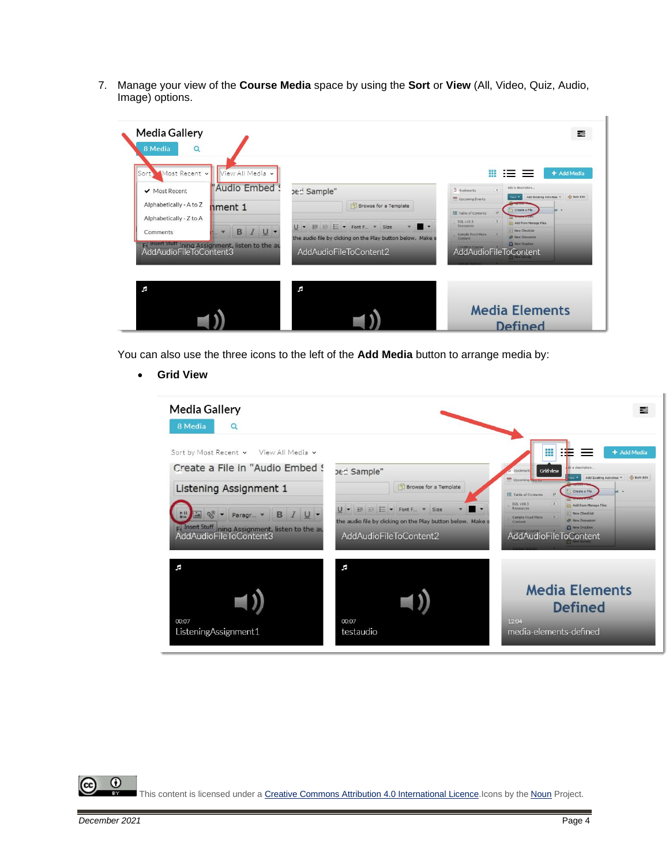7. Manage your view of the **Course Media** space by using the **Sort** or **View** (All, Video, Quiz, Audio, Image) options.

| <b>Media Gallery</b><br>8 Media<br>$\Omega$                                                                                                                                                    |                                                                                                                                                                                                                | 喜                                                                                                                                                                                                                                                                                                                                                                                                             |
|------------------------------------------------------------------------------------------------------------------------------------------------------------------------------------------------|----------------------------------------------------------------------------------------------------------------------------------------------------------------------------------------------------------------|---------------------------------------------------------------------------------------------------------------------------------------------------------------------------------------------------------------------------------------------------------------------------------------------------------------------------------------------------------------------------------------------------------------|
| View All Media v<br>Sort.<br>Most Recent v<br>"Audio Embed 9<br>✔ Most Recent<br>Alphabetically - A to Z<br>nment 1<br>Alphabetically - Z to A<br>B<br>U<br>Comments<br>AddAudioFileToContent3 | ped Sample"<br>Browse for a Template<br>$U - \overline{+} = \overline{+}$ $\overline{=} -$ Font F $\overline{+}$ Size<br>the audio file by clicking on the Play button below. Make s<br>AddAudioFileToContent2 | + Add Media<br>Add a description<br>$\mathbf{I}$<br>$\overline{a}$ 300 kmarks<br>Add Existing Activities *   40 Bulk Edit<br>New *<br>Upcoming Events<br>Create a File<br>E Table of Contents<br>17<br>$\mathbf{3}$<br>D2L v10.3<br>Add from Manage Files<br><b>Resources</b><br><b>El New Checklist</b><br>Sample Food Micro<br><b>B</b> New Discussion<br>Content<br>A New Dropbox<br>AddAudioFileToContent |
| r.                                                                                                                                                                                             | F                                                                                                                                                                                                              | <b>Media Elements</b><br><b>Defined</b>                                                                                                                                                                                                                                                                                                                                                                       |

You can also use the three icons to the left of the **Add Media** button to arrange media by:

• **Grid View**

| <b>Media Gallery</b><br>8 Media<br>Q                                                                                                                                  |                                                                                                                                                                                                                                                                                                                                                                                                                                                                                    | 로                                                                                                                                                                                                                                                                                                                                                                                                                                |
|-----------------------------------------------------------------------------------------------------------------------------------------------------------------------|------------------------------------------------------------------------------------------------------------------------------------------------------------------------------------------------------------------------------------------------------------------------------------------------------------------------------------------------------------------------------------------------------------------------------------------------------------------------------------|----------------------------------------------------------------------------------------------------------------------------------------------------------------------------------------------------------------------------------------------------------------------------------------------------------------------------------------------------------------------------------------------------------------------------------|
| Sort by Most Recent v<br>View All Media v<br>Create a File in "Audio Embed !<br>Listening Assignment 1<br>B.<br>$U$ $\tau$<br>Paragr<br><b>AddAudioFileToContent3</b> | ped Sample"<br><b>Browse for a Template</b><br>$\frac{1}{2}$ $\frac{1}{2}$ $\frac{1}{2}$ $\frac{1}{2}$ $\frac{1}{2}$ $\frac{1}{2}$ $\frac{1}{2}$ $\frac{1}{2}$ $\frac{1}{2}$ $\frac{1}{2}$ $\frac{1}{2}$ $\frac{1}{2}$ $\frac{1}{2}$ $\frac{1}{2}$ $\frac{1}{2}$ $\frac{1}{2}$ $\frac{1}{2}$ $\frac{1}{2}$ $\frac{1}{2}$ $\frac{1}{2}$ $\frac{1}{2}$ $\frac{1}{2}$<br>U<br>$\cdot$<br>Size<br>the audio file by clicking on the Play button below. Make:<br>AddAudioFileToContent2 | ₩<br>+ Add Media<br>dd a description<br><b>Grid view</b><br><b>Bookmark</b><br>Add Existing Activities . 49 Bulk Edit<br>$u =$<br>as Upcoming Crunt<br>Create a File<br><b>IE</b> Table of Contents<br>17<br>D2L v10.3<br><b>Pth Add from Manage Files</b><br><b>Resources</b><br><b>New Checklist</b><br>Sample Food Micro<br><b>CP</b> New Discussion<br>Content<br>New Dropbox<br>AddAudioFileToContent<br><b>Thew Survey</b> |
| F<br>00:07<br>ListeningAssignment1                                                                                                                                    | F<br>00:07<br>testaudio                                                                                                                                                                                                                                                                                                                                                                                                                                                            | <b>Media Elements</b><br><b>Defined</b><br>12.04<br>media-elements-defined                                                                                                                                                                                                                                                                                                                                                       |

 $\overline{0}$ (cc

This content is licensed under [a Creative Commons Attribution 4.0 International Licence.I](https://creativecommons.org/licenses/by/4.0/)cons by the [Noun](https://creativecommons.org/website-icons/) Project.